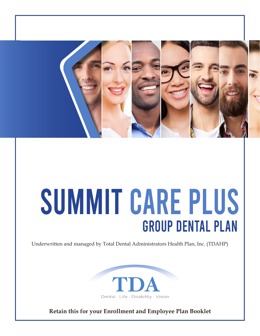

# SUMMIT CARE PLUS Group Dental Plan

Underwritten and managed by Total Dental Administrators Health Plan, Inc. (TDAHP)



**Retain this for your Enrollment and Employee Plan Booklet**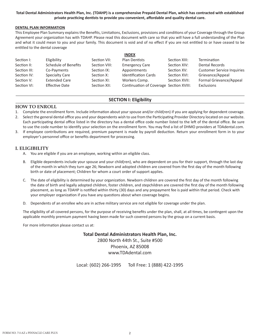#### **Total Dental Administrators Health Plan, Inc. (TDAHP) is a comprehensive Prepaid Dental Plan, which has contracted with established private practicing dentists to provide you convenient, affordable and quality dental care.**

#### **DENTAL PLAN INFORMATION**

This Employee Plan Summary explains the Benefits, Limitations, Exclusions, provisions and conditions of your Coverage through the Group Agreement your organization has with TDAHP. Please read this document with care so that you will have a full understanding of the Plan and what it could mean to you and your family. This document is void and of no effect if you are not entitled to or have ceased to be entitled to the dental coverage

|              |                       |               | <b>INDEX</b>                            |               |                                   |
|--------------|-----------------------|---------------|-----------------------------------------|---------------|-----------------------------------|
| Section I:   | Eligibility           | Section VII:  | Plan Dentists                           | Section XIII: | Termination                       |
| Section II:  | Schedule of Benefits  | Section VIII: | <b>Emergency Care</b>                   | Section XIV:  | <b>Dental Records</b>             |
| Section III: | Co-Payments           | Section IX:   | Appointments                            | Section XV:   | <b>Customer Service Inquiries</b> |
| Section IV:  | Specialty Care        | Section X:    | <b>Identification Cards</b>             | Section XVI:  | Grievance/Appeal                  |
| Section V:   | <b>Extended Care</b>  | Section XI:   | Workers Comp.                           | Section XVII: | Formal Grievance/Appeal           |
| Section VI:  | <b>Effective Date</b> | Section XII:  | Continuation of Coverage Section XVIII: |               | Exclusions                        |

#### Section I: Eligiblity **SECTION I: Eligibility**

#### **HOW TO ENROLL**

- 1. Complete the enrollment form. Include information about your spouse and/or child(ren) if you are applying for dependent coverage.
- 2. Select the general dental office you and your dependents wish to use from the Participating Provider Directory located on our website. Each participating dental office listed in the directory has a dental office code number listed to the left of the dental office. Be sure to use the code number to identify your selection on the enrollment form. You may find a list of DHMO providers at TDAdental.com.
- 3. If employee contributions are required, premium payment is made by payroll deduction. Return your enrollment form in to your employer's personnel office or benefits department for processing.

#### **I. ELIGIBILITY**

- A. You are eligible if you are an employee, working within an eligible class.
- B. Eligible dependents include your spouse and your child(ren), who are dependent on you for their support, through the last day of the month in which they turn age 26; Newborn and adopted children are covered from the first day of the month following birth or date of placement; Children for whom a court order of support applies.
- C. The date of eligibility is determined by your organization. Newborn children are covered the first day of the month following the date of birth and legally adopted children, foster children, and stepchildren are covered the first day of the month following placement, as long as TDAHP is notified within thirty (30) days and any prepayment fee is paid within that period. Check with your employer organization if you have any questions about when coverage begins.
- D. Dependents of an enrollee who are in active military service are not eligible for coverage under the plan.

The eligibility of all covered persons, for the purpose of receiving benefits under the plan, shall, at all times, be contingent upon the applicable monthly premium payment having been made for such covered persons by the group on a current basis.

For more information please contact us at:

**Total Dental Administrators Health Plan, Inc.** 2800 North 44th St., Suite #500 Phoenix, AZ 85008 www.TDAdental.com

Local: (602) 266-1995 Toll Free: 1 (888) 422-1995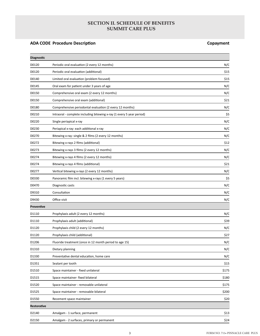## **SECTION II. SCHEDULE OF BENEFITS SUMMIT CARE PLUS**

# **ADA CODE Procedure Description Copayment**

| <b>Diagnostic</b> |                                                                       |       |
|-------------------|-----------------------------------------------------------------------|-------|
| D0120             | Periodic oral evaluation (2 every 12 months)                          | N/C   |
| D0120             | Periodic oral evaluation (additional)                                 | \$15  |
| D0140             | Limited oral evaluation (problem focused)                             | \$15  |
| D0145             | Oral exam for patient under 3 years of age                            | N/C   |
| D0150             | Comprehensive oral exam (2 every 12 months)                           | N/C   |
| D0150             | Comprehensive oral exam (additional)                                  | \$21  |
| D0180             | Comprehensive periodontal evaluation (2 every 12 months)              | N/C   |
| D0210             | Intraoral - complete including bitewing x-ray (1 every 5 year period) | \$5   |
| D0220             | Single periapical x-ray                                               | N/C   |
| D0230             | Periapical x-ray: each additional x-ray                               | N/C   |
| D0270             | Bitewing x-ray: single & 2 films (2 every 12 months)                  | N/C   |
| D0272             | Bitewing x-rays 2 films (additional)                                  | \$12  |
| D0273             | Bitewing x-rays 3 films (2 every 12 months)                           | N/C   |
| D0274             | Bitewing x-rays 4 films (2 every 12 months)                           | N/C   |
| D0274             | Bitewing x-rays 4 films (additional)                                  | \$21  |
| D0277             | Vertical bitewing x-rays (2 every 12 months)                          | N/C   |
| D0330             | Panoramic film incl. bitewing x-rays (1 every 5 years)                | \$5   |
| D0470             | Diagnostic casts                                                      | N/C   |
| D9310             | Consultation                                                          | N/C   |
| D9430             | Office visit                                                          | N/C   |
| <b>Preventive</b> |                                                                       |       |
| D1110             | Prophylaxis adult (2 every 12 months)                                 | N/C   |
| D1110             | Prophylaxis adult (additional)                                        | \$39  |
| D1120             | Prophylaxis child (2 every 12 months)                                 | N/C   |
| D1120             | Prophylaxis child (additional)                                        | \$27  |
| D1206             | Fluoride treatment (once in 12 month period to age 15)                | N/C   |
| D1310             | Dietary planning                                                      | N/C   |
| D1330             | Preventative dental education, home care                              | N/C   |
| D1351             | Sealant per tooth                                                     | \$15  |
| D1510             | Space maintainer - fixed unilateral                                   | \$175 |
| D1515             | Space maintainer- fixed bilateral                                     | \$180 |
| D1520             | Space maintainer - removable unilateral                               | \$175 |
| D1525             | Space maintainer - removable bilateral                                | \$200 |
| D1550             | Recement space maintainer                                             | \$20  |
| Restorative       |                                                                       |       |
| D2140             | Amalgam - 1 surface, permanent                                        | \$13  |
| D2150             | Amalgam - 2 surfaces, primary or permanent                            | \$24  |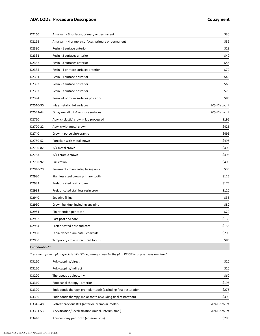| D2160         | Amalgam - 3 surfaces, primary or permanent                                                       | \$30         |
|---------------|--------------------------------------------------------------------------------------------------|--------------|
| D2161         | Amalgam - 4 or more surfaces, primary or permanent                                               | \$35         |
| D2330         | Resin - 1 surface anterior                                                                       | \$29         |
| D2331         | Resin - 2 surfaces anterior                                                                      | \$40         |
| D2332         | Resin - 3 surfaces anterior                                                                      | \$56         |
| D2335         | Resin - 4 or more surfaces anterior                                                              | \$72         |
| D2391         | Resin - 1 surface posterior                                                                      | \$45         |
| D2392         | Resin - 2 surface posterior                                                                      | \$65         |
| D2393         | Resin - 3 surface posterior                                                                      | \$75         |
| D2394         | Resin - 4 or more surfaces posterior                                                             | \$80         |
| D2510-30      | Inlay metallic 1-4 surfaces                                                                      | 20% Discount |
| D2542-44      | Onlay metallic 2-4 or more surfaces                                                              | 20% Discount |
| D2710         | Acrylic (plastic) crown - lab processed                                                          | \$195        |
| D2720-22      | Acrylic with metal crown                                                                         | \$425        |
| D2740         | Crown - porcelain/ceramic                                                                        | \$495        |
| D2750-52      | Porcelain with metal crown                                                                       | \$495        |
| D2780-82      | 3/4 metal crown                                                                                  | \$495        |
| D2783         | 3/4 ceramic crown                                                                                | \$495        |
| D2790-92      | Full crown                                                                                       | \$495        |
| D2910-20      | Recement crown, inlay, facing only                                                               | \$35         |
| D2930         | Stainless steel crown primary tooth                                                              | \$125        |
| D2932         | Prefabricated resin crown                                                                        | \$175        |
| D2933         | Prefabricated stainless resin crown                                                              | \$120        |
| D2940         | Sedative filling                                                                                 | \$35         |
| D2950         | Crown buildup, including any pins                                                                | \$80         |
| D2951         | Pin retention per tooth                                                                          | \$20         |
| D2952         | Cast post and core                                                                               | \$135        |
| D2954         | Prefabricated post and core                                                                      | \$135        |
| D2960         | Labial veneer laminate - chairside                                                               | \$295        |
| D2980         | Temporary crown (fractured tooth)                                                                | \$85         |
| Endodontics** |                                                                                                  |              |
|               | Treatment from a plan specialist MUST be pre-approved by the plan PRIOR to any services rendered |              |
| D3110         | Pulp capping/direct                                                                              | \$20         |
| D3120         | Pulp capping/indirect                                                                            | \$20         |
| D3220         | Therapeutic pulpotomy                                                                            | \$60         |
| D3310         | Root canal therapy - anterior                                                                    | \$195        |
| D3320         | Endodontic therapy, premolar tooth (excluding final restoration)                                 | \$275        |
| D3330         | Endodontic therapy, molar tooth (excluding final restoration)                                    | \$399        |
| D3346-48      | Retreat previous RCT (anterior, premolar, molar)                                                 | 20% Discount |
| D3351-53      | Apexification/Recalcification (Initial, interim, final)                                          | 20% Discount |
| D3410         | Apicoectomy per tooth (anterior only)                                                            | \$290        |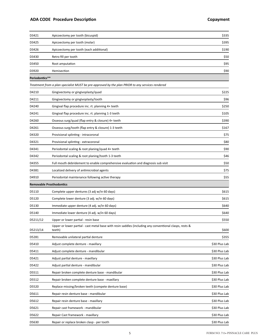# **ADA CODE Procedure Description Copayment**

| \$395<br>D3425<br>Apicoectomy per tooth (molar)<br>\$190<br>Apicoectomy per tooth (each additional)<br>D3426<br>\$50<br>D3430<br>Retro fill per tooth<br>D3450<br>\$95<br>Root amputation<br>\$90<br>D3920<br>Hemisection<br>Periodontics**<br>Treatment from a plan specialist MUST be pre-approved by the plan PRIOR to any services rendered<br>\$225<br>D4210<br>Gingivectomy or gingivoplasty/quad<br>\$96<br>D4211<br>Gingivectomy or gingivoplasty/tooth<br>D4240<br>Gingival flap procedure inc. rt. planning 4+ teeth<br>\$250<br>D4241<br>Gingival flap procedure inc. rt. planning 1-3 teeth<br>\$105<br>D4260<br>Osseous surg/quad (flap entry & closure) 4+ teeth<br>\$390<br>Osseous surg/tooth (flap entry & closure) 1-3 teeth<br>\$167<br>D4261<br>\$75<br>D4320<br>Provisional splinting - intracoronal<br>\$80<br>D4321<br>Provisional splinting - extracoronal<br>\$90<br>D4341<br>Periodontal scaling & root planing/quad 4+ teeth<br>\$46<br>Periodontal scaling & root planing/tooth 1-3 teeth<br>D4342<br>Full mouth debridement to enable comprehensive evaluation and diagnosis sub visit<br>\$50<br>D4355<br>\$75<br>D4381<br>Localized delivery of antimicrobial agents<br>\$55<br>D4910<br>Periodontal maintenance following active therapy<br><b>Removable Prosthodontics</b><br>D5110<br>Complete upper dentures (3 adj w/in 60 days)<br>\$615 |
|-------------------------------------------------------------------------------------------------------------------------------------------------------------------------------------------------------------------------------------------------------------------------------------------------------------------------------------------------------------------------------------------------------------------------------------------------------------------------------------------------------------------------------------------------------------------------------------------------------------------------------------------------------------------------------------------------------------------------------------------------------------------------------------------------------------------------------------------------------------------------------------------------------------------------------------------------------------------------------------------------------------------------------------------------------------------------------------------------------------------------------------------------------------------------------------------------------------------------------------------------------------------------------------------------------------------------------------------------------------------------------|
|                                                                                                                                                                                                                                                                                                                                                                                                                                                                                                                                                                                                                                                                                                                                                                                                                                                                                                                                                                                                                                                                                                                                                                                                                                                                                                                                                                               |
|                                                                                                                                                                                                                                                                                                                                                                                                                                                                                                                                                                                                                                                                                                                                                                                                                                                                                                                                                                                                                                                                                                                                                                                                                                                                                                                                                                               |
|                                                                                                                                                                                                                                                                                                                                                                                                                                                                                                                                                                                                                                                                                                                                                                                                                                                                                                                                                                                                                                                                                                                                                                                                                                                                                                                                                                               |
|                                                                                                                                                                                                                                                                                                                                                                                                                                                                                                                                                                                                                                                                                                                                                                                                                                                                                                                                                                                                                                                                                                                                                                                                                                                                                                                                                                               |
|                                                                                                                                                                                                                                                                                                                                                                                                                                                                                                                                                                                                                                                                                                                                                                                                                                                                                                                                                                                                                                                                                                                                                                                                                                                                                                                                                                               |
|                                                                                                                                                                                                                                                                                                                                                                                                                                                                                                                                                                                                                                                                                                                                                                                                                                                                                                                                                                                                                                                                                                                                                                                                                                                                                                                                                                               |
|                                                                                                                                                                                                                                                                                                                                                                                                                                                                                                                                                                                                                                                                                                                                                                                                                                                                                                                                                                                                                                                                                                                                                                                                                                                                                                                                                                               |
|                                                                                                                                                                                                                                                                                                                                                                                                                                                                                                                                                                                                                                                                                                                                                                                                                                                                                                                                                                                                                                                                                                                                                                                                                                                                                                                                                                               |
|                                                                                                                                                                                                                                                                                                                                                                                                                                                                                                                                                                                                                                                                                                                                                                                                                                                                                                                                                                                                                                                                                                                                                                                                                                                                                                                                                                               |
|                                                                                                                                                                                                                                                                                                                                                                                                                                                                                                                                                                                                                                                                                                                                                                                                                                                                                                                                                                                                                                                                                                                                                                                                                                                                                                                                                                               |
|                                                                                                                                                                                                                                                                                                                                                                                                                                                                                                                                                                                                                                                                                                                                                                                                                                                                                                                                                                                                                                                                                                                                                                                                                                                                                                                                                                               |
|                                                                                                                                                                                                                                                                                                                                                                                                                                                                                                                                                                                                                                                                                                                                                                                                                                                                                                                                                                                                                                                                                                                                                                                                                                                                                                                                                                               |
|                                                                                                                                                                                                                                                                                                                                                                                                                                                                                                                                                                                                                                                                                                                                                                                                                                                                                                                                                                                                                                                                                                                                                                                                                                                                                                                                                                               |
|                                                                                                                                                                                                                                                                                                                                                                                                                                                                                                                                                                                                                                                                                                                                                                                                                                                                                                                                                                                                                                                                                                                                                                                                                                                                                                                                                                               |
|                                                                                                                                                                                                                                                                                                                                                                                                                                                                                                                                                                                                                                                                                                                                                                                                                                                                                                                                                                                                                                                                                                                                                                                                                                                                                                                                                                               |
|                                                                                                                                                                                                                                                                                                                                                                                                                                                                                                                                                                                                                                                                                                                                                                                                                                                                                                                                                                                                                                                                                                                                                                                                                                                                                                                                                                               |
|                                                                                                                                                                                                                                                                                                                                                                                                                                                                                                                                                                                                                                                                                                                                                                                                                                                                                                                                                                                                                                                                                                                                                                                                                                                                                                                                                                               |
|                                                                                                                                                                                                                                                                                                                                                                                                                                                                                                                                                                                                                                                                                                                                                                                                                                                                                                                                                                                                                                                                                                                                                                                                                                                                                                                                                                               |
|                                                                                                                                                                                                                                                                                                                                                                                                                                                                                                                                                                                                                                                                                                                                                                                                                                                                                                                                                                                                                                                                                                                                                                                                                                                                                                                                                                               |
|                                                                                                                                                                                                                                                                                                                                                                                                                                                                                                                                                                                                                                                                                                                                                                                                                                                                                                                                                                                                                                                                                                                                                                                                                                                                                                                                                                               |
|                                                                                                                                                                                                                                                                                                                                                                                                                                                                                                                                                                                                                                                                                                                                                                                                                                                                                                                                                                                                                                                                                                                                                                                                                                                                                                                                                                               |
|                                                                                                                                                                                                                                                                                                                                                                                                                                                                                                                                                                                                                                                                                                                                                                                                                                                                                                                                                                                                                                                                                                                                                                                                                                                                                                                                                                               |
| D5120<br>Complete lower denture (3 adj. w/in 60 days)<br>\$615                                                                                                                                                                                                                                                                                                                                                                                                                                                                                                                                                                                                                                                                                                                                                                                                                                                                                                                                                                                                                                                                                                                                                                                                                                                                                                                |
| D5130<br>Immediate upper denture (4 adj. w/in 60 days)<br>\$640                                                                                                                                                                                                                                                                                                                                                                                                                                                                                                                                                                                                                                                                                                                                                                                                                                                                                                                                                                                                                                                                                                                                                                                                                                                                                                               |
| D5140<br>Immediate lower denture (4 adj. w/in 60 days)<br>\$640                                                                                                                                                                                                                                                                                                                                                                                                                                                                                                                                                                                                                                                                                                                                                                                                                                                                                                                                                                                                                                                                                                                                                                                                                                                                                                               |
| \$550<br>D5211/12<br>Upper or lower partial - resin base                                                                                                                                                                                                                                                                                                                                                                                                                                                                                                                                                                                                                                                                                                                                                                                                                                                                                                                                                                                                                                                                                                                                                                                                                                                                                                                      |
| Upper or lower partial - cast metal base with resin saddles (including any conventional clasps, rests &<br>\$600<br>D5213/14<br>teeth)                                                                                                                                                                                                                                                                                                                                                                                                                                                                                                                                                                                                                                                                                                                                                                                                                                                                                                                                                                                                                                                                                                                                                                                                                                        |
| D5281<br>Removable unilateral partial denture<br>\$355                                                                                                                                                                                                                                                                                                                                                                                                                                                                                                                                                                                                                                                                                                                                                                                                                                                                                                                                                                                                                                                                                                                                                                                                                                                                                                                        |
| D5410<br>Adjust complete denture - maxillary<br>\$30 Plus Lab                                                                                                                                                                                                                                                                                                                                                                                                                                                                                                                                                                                                                                                                                                                                                                                                                                                                                                                                                                                                                                                                                                                                                                                                                                                                                                                 |
| Adjust complete denture - mandibular<br>\$30 Plus Lab<br>D5411                                                                                                                                                                                                                                                                                                                                                                                                                                                                                                                                                                                                                                                                                                                                                                                                                                                                                                                                                                                                                                                                                                                                                                                                                                                                                                                |
| D5421<br>\$30 Plus Lab<br>Adjust partial denture - maxillary                                                                                                                                                                                                                                                                                                                                                                                                                                                                                                                                                                                                                                                                                                                                                                                                                                                                                                                                                                                                                                                                                                                                                                                                                                                                                                                  |
| D5422<br>\$30 Plus Lab<br>Adjust partial denture - mandibular                                                                                                                                                                                                                                                                                                                                                                                                                                                                                                                                                                                                                                                                                                                                                                                                                                                                                                                                                                                                                                                                                                                                                                                                                                                                                                                 |
| Repair broken complete denture base - mandibular<br>\$30 Plus Lab<br>D5511                                                                                                                                                                                                                                                                                                                                                                                                                                                                                                                                                                                                                                                                                                                                                                                                                                                                                                                                                                                                                                                                                                                                                                                                                                                                                                    |
| D5512<br>Repair broken complete denture base - maxillary<br>\$30 Plus Lab                                                                                                                                                                                                                                                                                                                                                                                                                                                                                                                                                                                                                                                                                                                                                                                                                                                                                                                                                                                                                                                                                                                                                                                                                                                                                                     |
| \$30 Plus Lab<br>D5520<br>Replace missing/broken teeth (compete denture base)                                                                                                                                                                                                                                                                                                                                                                                                                                                                                                                                                                                                                                                                                                                                                                                                                                                                                                                                                                                                                                                                                                                                                                                                                                                                                                 |
| D5611<br>\$30 Plus Lab<br>Repair resin denture base - mandibular                                                                                                                                                                                                                                                                                                                                                                                                                                                                                                                                                                                                                                                                                                                                                                                                                                                                                                                                                                                                                                                                                                                                                                                                                                                                                                              |
| D5612<br>\$30 Plus Lab<br>Repair resin denture base - maxillary                                                                                                                                                                                                                                                                                                                                                                                                                                                                                                                                                                                                                                                                                                                                                                                                                                                                                                                                                                                                                                                                                                                                                                                                                                                                                                               |
| D5621<br>Repair cast framework - mandibular<br>\$30 Plus Lab                                                                                                                                                                                                                                                                                                                                                                                                                                                                                                                                                                                                                                                                                                                                                                                                                                                                                                                                                                                                                                                                                                                                                                                                                                                                                                                  |
| D5622<br>Repair Cast framework - maxillary<br>\$30 Plus Lab                                                                                                                                                                                                                                                                                                                                                                                                                                                                                                                                                                                                                                                                                                                                                                                                                                                                                                                                                                                                                                                                                                                                                                                                                                                                                                                   |
| D5630<br>\$30 Plus Lab<br>Repair or replace broken clasp - per tooth                                                                                                                                                                                                                                                                                                                                                                                                                                                                                                                                                                                                                                                                                                                                                                                                                                                                                                                                                                                                                                                                                                                                                                                                                                                                                                          |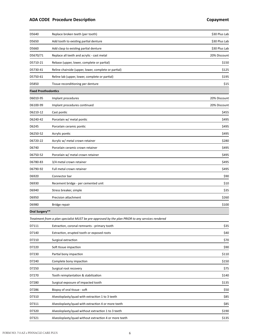# **ADA CODE Procedure Description Copayment**

| D5640                       | Replace broken teeth (per tooth)                                                                 | \$30 Plus Lab |
|-----------------------------|--------------------------------------------------------------------------------------------------|---------------|
| D5650                       | Add tooth to existing partial denture                                                            | \$30 Plus Lab |
| D5660                       | Add clasp to existing partial denture                                                            | \$30 Plus Lab |
| D5670/71                    | Replace all teeth and acrylic - cast metal                                                       | 20% Discount  |
| D5710-21                    | Rebase (upper, lower, complete or partial)                                                       | \$150         |
| D5730-41                    | Reline chairside (upper, lower, complete or partial)                                             | \$125         |
| D5750-61                    | Reline lab (upper, lower, complete or partial)                                                   | \$195         |
| D5850                       | Tissue reconditioning per denture                                                                | \$15          |
| <b>Fixed Prosthodontics</b> |                                                                                                  |               |
| D6010-95                    | Implant procedures                                                                               | 20% Discount  |
| D6100-99                    | Implant procedures continued                                                                     | 20% Discount  |
| D6210-12                    | Cast pontic                                                                                      | \$455         |
| D6240-42                    | Porcelain w/ metal pontic                                                                        | \$495         |
| D6245                       | Porcelain ceramic pontic                                                                         | \$495         |
| D6250-52                    | Acrylic pontic                                                                                   | \$495         |
| D6720-22                    | Acrylic w/ metal crown retainer                                                                  | \$280         |
| D6740                       | Porcelain ceramic crown retainer                                                                 | \$495         |
| D6750-52                    | Porcelain w/ metal crown retainer                                                                | \$495         |
| D6780-83                    | 3/4 metal crown retainer                                                                         | \$495         |
| D6790-92                    | Full metal crown retainer                                                                        | \$495         |
| D6920                       | Connector bar                                                                                    | \$90          |
| D6930                       | Recement bridge - per cemented unit                                                              | \$10          |
| D6940                       | Stress breaker, simple                                                                           | \$35          |
| D6950                       | Precision attachment                                                                             | \$260         |
| D6980                       | Bridge repair                                                                                    | \$100         |
| Oral Surgery**              |                                                                                                  |               |
|                             | Treatment from a plan specialist MUST be pre-approved by the plan PRIOR to any services rendered |               |
| D7111                       | Extraction, coronal remnants - primary tooth                                                     | \$35          |
| D7140                       | Extraction, erupted tooth or exposed roots                                                       | \$40          |
| D7210                       | Surgical extraction                                                                              | \$70          |
| D7220                       | Soft tissue impaction                                                                            | \$90          |
| D7230                       | Partial bony impaction                                                                           | \$110         |
| D7240                       | Complete bony impaction                                                                          | \$150         |
| D7250                       | Surgical root recovery                                                                           | \$75          |
| D7270                       | Tooth reimplantation & stabilization                                                             | \$140         |
| D7280                       | Surgical exposure of impacted tooth                                                              | \$135         |
| D7286                       | Biopsy of oral tissue - soft                                                                     | \$50          |
| D7310                       | Alveoloplasty/quad with extraction 1 to 3 teeth                                                  | \$85          |
| D7311                       | Alveoloplasty/quad with extraction 4 or more teeth                                               | \$85          |
| D7320                       | Alveoloplasty/quad without extraction 1 to 3 teeth                                               | \$190         |
| D7321                       | Alveoloplasty/quad without extraction 4 or more teeth                                            | \$135         |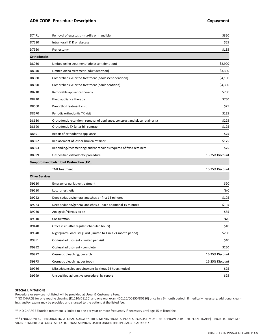#### **ADA CODE Procedure Description Copayment**

| D7471                 | Removal of exostosis - maxilla or mandible                                    | \$320           |
|-----------------------|-------------------------------------------------------------------------------|-----------------|
| D7510                 | Intra - oral I & D or abscess                                                 | \$65            |
| D7960                 | Frenectomy                                                                    | \$135           |
| <b>Orthodontics</b>   |                                                                               |                 |
| D8030                 | Limited ortho treatment (adolescent dentition)                                | \$2,900         |
| D8040                 | Limited ortho treatment (adult dentition)                                     | \$3,300         |
| D8080                 | Comprehensive ortho treatment (adolescent dentition)                          | \$4,100         |
| D8090                 | Comprehensive ortho treatment (adult dentition)                               | \$4,300         |
| D8210                 | Removable appliance therapy                                                   | \$750           |
| D8220                 | Fixed appliance therapy                                                       | \$750           |
| D8660                 | Pre-ortho treatment visit                                                     | \$75            |
| D8670                 | Periodic orthodontic TX visit                                                 | \$125           |
| D8680                 | Orthodontic retention - removal of appliance, construct and place retainer(s) | \$225           |
| D8690                 | Orthodontic TX (alter bill contract)                                          | \$125           |
| D8691                 | Repair of orthodontic appliance                                               | \$75            |
| D8692                 | Replacement of lost or broken retainer                                        | \$175           |
| D8693                 | Rebonding/recementing; and/or repair as required of fixed retainers           | \$75            |
|                       |                                                                               | 15-25% Discount |
| D8999                 | Unspecified orthodontic procedure                                             |                 |
|                       | Temporomandibular Joint Dysfunction (TMJ)                                     |                 |
|                       | <b>TMJ</b> Treatment                                                          | 15-25% Discount |
| <b>Other Services</b> |                                                                               |                 |
| D9110                 | Emergency palliative treatment                                                | \$20            |
| D9210                 | Local anesthetic                                                              | N/C             |
| D9222                 | Deep sedation/general anesthesia - first 15 minutes                           | \$105           |
| D9223                 | Deep sedation/general anesthesia - each additional 15 minutes                 | \$105           |
| D9230                 | Analgesia/Nitrous oxide                                                       | \$35            |
| D9310                 | Consultation                                                                  | N/C             |
| D9440                 | Office visit (after regular scheduled hours)                                  | \$40            |
| D9940                 | Nightguard - occlusal guard (limited to 1 in a 24 month period)               | \$200           |
| D9951                 | Occlusal adjustment - limited per visit                                       | \$40            |
| D9952                 | Occlusal adjustment - complete                                                | \$250           |
| D9972                 | Cosmetic bleaching, per arch                                                  | 15-25% Discount |
| D9973                 | Cosmetic bleaching, per tooth                                                 | 15-25% Discount |
| D9986                 | Missed/canceled appointment (without 24 hours notice)                         | \$25            |

#### **SPECIAL LIMITATIONS**

Procedure or services not listed will be provided at Usual & Customary Fees.

\* NO CHARGE for one routine cleaning (D1110/D1120) and one oral exam (D0120/D0150/D0180) once in a 6-month period. If medically necessary, additional cleanings and/or exams may be provided and charged to the patient at the listed fee.

\*\* NO CHARGE Fluoride treatment is limited to one per year or more frequently if necessary until age 15 at listed fee.

\*\*\* ENDODONTIC, PERIODONTIC & ORAL SURGERY TREATMENTS FROM A PLAN SPECIALIST MUST BE APPROVED BY THE PLAN (TDAHP) PRIOR TO ANY SER-VICES RENDERED & ONLY APPLY TO THOSE SERVICES LISTED UNDER THE SPECIALIST CATEGORY.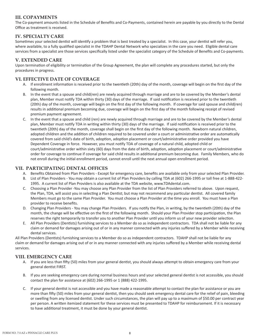# **III. COPAYMENTS**

The Co-payment amounts listed in the Schedule of Benefits and Co-Payments, contained herein are payable by you directly to the Dental Office as treatment is received.

# **IV. SPECIALTY CARE**

Sometimes your selected dentist will identify a problem that is best treated by a specialist. In this case, your dentist will refer you, where available, to a fully qualified specialist in the TDAHP Dental Network who specializes in the care you need. Eligible dental care services from a specialist are those services specifically listed under the specialist category of the Schedule of Benefits and Co-payments.

## **V. EXTENDED CARE**

Upon termination of eligibility or termination of the Group Agreement, the plan will complete any procedures started, but only the procedures in progress.

## **VI. EFFECTIVE DATE OF COVERAGE**

- A. If enrollment information is received prior to the twentieth (20th) day of the month, coverage will begin on the first day of the following month.
- B. In the event that a spouse and child(ren) are newly acquired through marriage and are to be covered by the Member's dental plan, Member must notify TDA within thirty (30) days of the marriage. If said notification is received prior to the twentieth (20th) day of the month, coverage will begin on the first day of the following month. If coverage for said spouse and child(ren) results in additional premium becoming due, coverage will begin on the first day of the month following receipt of revised premium payment agreement.
- C. In the event that a spouse and child (ren) are newly acquired through marriage and are to be covered by the Member's dental plan, Member must notify TDA in writing within thirty (30) days of the marriage. If said notification is received prior to the twentieth (20th) day of the month, coverage shall begin on the first day of the following month. Newborn natural children, adopted children and the addition of children required to be covered under a court or administrative order are automatically covered from said child's date of birth, adoption, adoption placement or court/administrative order provided you have Dependent Coverage in force. However, you must notify TDA of coverage of a natural child, adopted child or court/administrative order within sixty (60) days from the date of birth, adoption, adoption placement or court/administrative order for coverage to continue if coverage for said child results in additional premium becoming due. Family Members, who do not enroll during the initial enrollment period, cannot enroll until the next annual open enrollment period.

#### **VII. PARTICIPATING DENTAL OFFICES**

- A. Benefits Obtained from Plan Providers Except for emergency care, benefits are available only from your selected Plan Provider.
- B. List of Plan Providers You may obtain a current list of Plan Providers by calling TDA at (602) 266-1995 or toll free at 1-888-422- 1995. A current list of Plan Providers is also available at the TDA website, www.TDAdental.com.
- C. Choosing a Plan Provider -You may choose any Plan Provider from the list of Plan Providers referred to above. Upon request, the Plan, TDA, will assist you in selecting a Plan Dentist; but may not recommend any particular dentist. All covered family Members must go to the same Plan Provider. You must choose a Plan Provider at the time you enroll. You must have a Plan provider to receive benefits.
- D. Changing Plan Providers You may change Plan Providers. If you notify the Plan, in writing, by the twentieth (20th) day of the month, the change will be effective on the first of the following month. Should your Plan Provider stop participation, the Plan reserves the right temporarily to transfer you to another Plan Provider until you inform us of your new provider selection.
- E. All Plan Providers (Dentists) furnishing services to a Member do so as independent contractors. TDA shall not be liable for any claim or demand for damages arising out of or in any manner connected with any injuries suffered by a Member while receiving dental services.

All Plan Providers (Dentists) furnishing services to a Member do so as independent contractors. TDAHP shall not be liable for any claim or demand for damages arising out of or in any manner connected with any injuries suffered by a Member while receiving dental services.

#### **VIII. EMERGENCY CARE**

- A. If you are less than fifty (50) miles from your general dentist, you should always attempt to obtain emergency care from your general dentist FIRST.
- B. If you are seeking emergency care during normal business hours and your selected general dentist is not accessible, you should contact the plan for assistance at (602) 266-1995 or 1 (888) 422-1995.
- C. If your general dentist is not accessible and you have made a reasonable attempt to contact the plan for assistance or you are more than fifty (50) miles from your general dentist, then you should seek emergency dental care for the relief of pain, bleeding or swelling from any licensed dentist. Under such circumstances, the plan will pay up to a maximum of \$50.00 per contract year per person. A written itemized statement for these services must be presented to TDAHP for reimbursement. If it is necessary to have additional treatment, it must be done by your general dentist.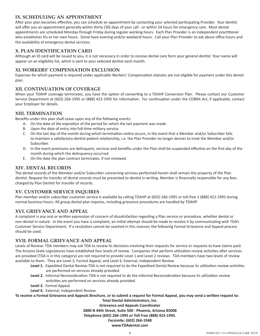## **IX. SCHEDULING AN APPOINTMENT**

After your plan becomes effective, you can schedule an appointment by contacting your selected participating Provider. Your dentist will offer you an appointment generally within thirty (30) days of your call - or within 24 hours for emergency care. Most dental appointments are scheduled Monday through Friday during regular working hours. Each Plan Provider is an independent practitioner who establishes his or her own hours. Some have evening and/or weekend hours. Call your Plan Provider to ask about office hours and the availability of emergency dental services.

#### **X. PLAN IDENTIFICATION CARD**

Although an ID card will be issued to you, it is not necessary in order to receive dental care form your general dentist. Your name will appear on an eligibility list, which is sent to your selected dentist each month.

#### **XI. WORKERS' COMPENSATION EXCLUSION**

Expenses for which payment is required under applicable Workers' Compensation statutes are not eligible for payment under this dental plan.

#### **XII. CONTINUATION OF COVERAGE**

When your TDAHP coverage terminates, you have the option of converting to a TDAHP Conversion Plan. Please contact our Customer Service Department at (602) 266-1995 or (888) 422-1995 for information. For continuation under the COBRA Act, if applicable, contact your Employer for details.

#### **XIII. TERMINATION**

Benefits under this plan shall cease upon any of the following events:

- A. On the date of the expiration of the period for which the last payment was made.
- B. Upon the date of entry into full-time military service.
- C. On the last day of the month during which termination notice occurs, in the event that a Member and/or Subscriber fails to maintain a satisfactory dentist-patient relationship, i.e. the Plan Provider no longer desires to treat the Member and/or Subscriber.
- D. In the event premiums are delinquent, services and benefits under the Plan shall be suspended effective on the first day of the month during which the delinquency occurred.
- E. On the date the plan contract terminates, if not renewed.

## **XIV. DENTAL RECORDS**

The dental records of the Member and/or Subscriber concerning services performed herein shall remain the property of the Plan dentist. Request for transfer of dental records must be presented to dentist in writing. Member is financially responsible for any fees charged by Plan Dentist for transfer of records.

#### **XV. CUSTOMER SERVICE INQUIRES**

Plan member and/or subscriber customer service is available by calling TDAHP at (602) 266-1995 or toll-free 1 (888) 422-1995 during normal business hours. All group dental plan inquires, including grievance procedures are handled by TDAHP.

# **XVI. GRIEVANCE AND APPEAL**

A complaint is any oral or written expression of concern of dissatisfaction regarding a Plan service or procedure, whether dental or non-dental in nature. In the event you have a complaint, an initial attempt should be made to resolve it by communicating with TDA's Customer Service Department. If a resolution cannot be reached in this manner, the following Formal Grievance and Appeal process should be used.

#### **XVII. FORMAL GRIEVANCE AND APPEAL**

Levels of Review: TDA members may ask TDA to review its decisions involving their requests for service or requests to have claims paid. The Arizona State Legislatures have established four levels of review. Companies that perform utilization review activities after services are provided (TDA is in this category) are not required to provide Level 1 and Level 2 reviews. TDA members have two levels of review available to them. They are Level 3, Formal Appeal, and Level 4, External, Independent Review.

- **Level 1.** Expedited Dental Review-TDA is not required to do the Expedited Dental Review because its utilization review activities are performed on services already provided.
- **Level 2.** Informal Reconsideration-TDA is not required to do the Informal Reconsideration because its utilization review activities are performed on services already provided.
- **Level 3.** Formal Appeal
- **Level 4.** External, Independent Review

**To receive a Formal Grievance and Appeals Brochure, or to submit a request for Formal Appeal, you may send a written request to:** 

**Total Dental Administrators, Inc. Grievance and Appeals Coordinator 2800 N 44th Street, Suite 500 - Phoenix, Arizona 85008 Telephone (602) 266-1995 or Toll Free (888) 422-1995. Facsimile: (602) 266-1948 www.TDAdental.com**